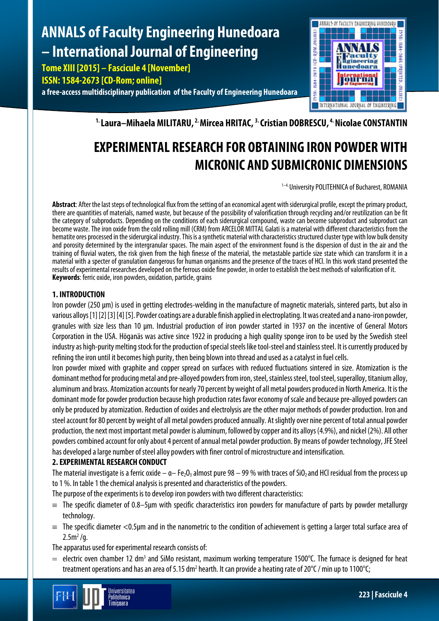# **ANNALS of Faculty Engineering Hunedoara – International Journal of Engineering**

**Tome XIII [2015] – Fascicule 4 [November] ISSN: 1584-2673 [CD-Rom; online] a free-access multidisciplinary publication of the Faculty of Engineering Hunedoara**



### **1. Laura–Mihaela MILITARU, 2. Mircea HRITAC, 3. Cristian DOBRESCU, 4. Nicolae CONSTANTIN**

## **EXPERIMENTAL RESEARCH FOR OBTAINING IRON POWDER WITH MICRONIC AND SUBMICRONIC DIMENSIONS**

<sup>1-4.</sup> University POLITEHNICA of Bucharest, ROMANIA

**Abstract**: After the last steps of technological flux from the setting of an economical agent with siderurgical profile, except the primary product, there are quantities of materials, named waste, but because of the possibility of valorification through recycling and/or reutilization can be fit the category of subproducts. Depending on the conditions of each siderurgical compound, waste can become subproduct and subproduct can become waste. The iron oxide from the cold rolling mill (CRM) from ARCELOR MITTAL Galati is a material with different characteristics from the hematite ores processed in the siderurgical industry. This is a synthetic material with characteristics structured cluster type with low bulk density and porosity determined by the intergranular spaces. The main aspect of the environment found is the dispersion of dust in the air and the training of fluvial waters, the risk given from the high finesse of the material, the metastable particle size state which can transform it in a material with a specter of granulation dangerous for human organisms and the presence of the traces of HCl. In this work stand presented the results of experimental researches developed on the ferrous oxide fine powder, in order to establish the best methods of valorification of it. **Keywords**: ferric oxide, iron powders, oxidation, particle, grains

#### **1. INTRODUCTION**

Iron powder (250 µm) is used in getting electrodes-welding in the manufacture of magnetic materials, sintered parts, but also in various alloys [1] [2] [3] [4] [5]. Powder coatings are a durable finish applied in electroplating. It was created and a nano-iron powder, granules with size less than 10 μm. Industrial production of iron powder started in 1937 on the incentive of General Motors Corporation in the USA. Höganäs was active since 1922 in producing a high quality sponge iron to be used by the Swedish steel industry as high-purity melting stock for the production of special steels like tool-steel and stainless steel. It is currently produced by refining the iron until it becomes high purity, then being blown into thread and used as a catalyst in fuel cells.

Iron powder mixed with graphite and copper spread on surfaces with reduced fluctuations sintered in size. Atomization is the dominant method for producing metal and pre-alloyed powders from iron, steel, stainless steel, tool steel, superalloy, titanium alloy, aluminum and brass. Atomization accounts for nearly 70 percent by weight of all metal powders produced in North America. It is the dominant mode for powder production because high production rates favor economy of scale and because pre-alloyed powders can only be produced by atomization. Reduction of oxides and electrolysis are the other major methods of powder production. Iron and steel account for 80 percent by weight of all metal powders produced annually. At slightly over nine percent of total annual powder production, the next most important metal powder is aluminum, followed by copper and its alloys (4.9%), and nickel (2%). All other powders combined account for only about 4 percent of annual metal powder production. By means of powder technology, JFE Steel has developed a large number of steel alloy powders with finer control of microstructure and intensification.

#### **2. EXPERIMENTAL RESEARCH CONDUCT**

The material investigate is a ferric oxide  $-\alpha - Fe$ , almost pure 98 – 99 % with traces of SiO, and HCl residual from the process up to 1 %. In table 1 the chemical analysis is presented and characteristics of the powders.

The purpose of the experiments is to develop iron powders with two different characteristics:

- $\equiv$  The specific diameter of 0.8–5µm with specific characteristics iron powders for manufacture of parts by powder metallurgy technology.
- ≡ The specific diameter <0.5µm and in the nanometric to the condition of achievement is getting a larger total surface area of  $2.5m^2/a$ .

The apparatus used for experimental research consists of:

 $=$  electric oven chamber 12 dm<sup>3</sup> and SiMo resistant, maximum working temperature 1500°C. The furnace is designed for heat treatment operations and has an area of 5.15 dm<sup>2</sup> hearth. It can provide a heating rate of 20°C / min up to 1100°C;

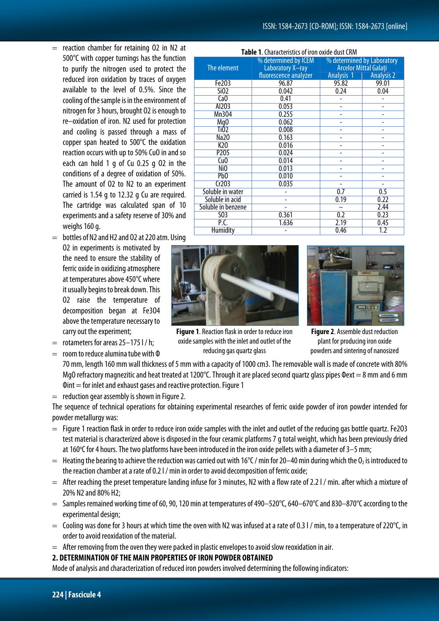- $=$  reaction chamber for retaining 02 in N2 at 500°C with copper turnings has the function to purify the nitrogen used to protect the reduced iron oxidation by traces of oxygen available to the level of 0.5%. Since the cooling of the sample is in the environment of nitrogen for 3 hours, brought O2 is enough to re–oxidation of iron. N2 used for protection and cooling is passed through a mass of copper span heated to 500°C the oxidation reaction occurs with up to 50% CuO in and so each can hold 1 g of Cu 0.25 g O2 in the conditions of a degree of oxidation of 50%. The amount of O2 to N2 to an experiment carried is 1.54 g to 12.32 g Cu are required. The cartridge was calculated span of 10 experiments and a safety reserve of 30% and weighs 160 g.
- = bottles of N2 and H2 and O2 at 220 atm. Using O2 in experiments is motivated by the need to ensure the stability of ferric oxide in oxidizing atmosphere at temperatures above 450°C where it usually begins to break down. This O2 raise the temperature of decomposition began at Fe3O4 above the temperature necessary to carry out the experiment;
- $=$  rotameters for areas 25–175 l/h;
- $=$  room to reduce alumina tube with  $\Phi$

| Table 1. Characteristics of iron oxide dust CRM |                                          |                                                            |                   |
|-------------------------------------------------|------------------------------------------|------------------------------------------------------------|-------------------|
| The element                                     | % determined by ICEM<br>Laboratory X-ray | % determined by Laboratory<br><b>Arcelor Mittal Galati</b> |                   |
|                                                 | fluorescence analyzer                    | <b>Analysis 1</b>                                          | <b>Analysis 2</b> |
| Fe203                                           | 96.87                                    | 95.82                                                      | 99.01             |
| SiO <sub>2</sub>                                | 0.042                                    | 0.24                                                       | 0.04              |
| CaO                                             | 0.41                                     |                                                            |                   |
| Al203                                           | 0.053                                    |                                                            |                   |
| <b>Mn304</b>                                    | 0.255                                    |                                                            |                   |
| Mg <sub>0</sub>                                 | 0.062                                    |                                                            |                   |
| TiO2                                            | 0.008                                    |                                                            |                   |
| <b>Na20</b>                                     | 0.163                                    |                                                            |                   |
| K <sub>20</sub>                                 | 0.016                                    |                                                            |                   |
| P <sub>205</sub>                                | 0.024                                    |                                                            |                   |
| CuO                                             | 0.014                                    |                                                            |                   |
| Ni <sub>0</sub>                                 | 0.013                                    |                                                            |                   |
| PbO                                             | 0.010                                    |                                                            |                   |
| Cr203                                           | 0.035                                    |                                                            |                   |
| Soluble in water                                |                                          | 0.7                                                        | 0.5               |
| Soluble in acid                                 |                                          | 0.19                                                       | 0.22              |
| Soluble in benzene                              |                                          |                                                            | 2.44              |
| 503                                             | 0.361                                    | 0.2                                                        | 0.23              |
| P.C.                                            | 1.636                                    | 2.19                                                       | 0.45              |
| <b>Humidity</b>                                 |                                          | 0.46                                                       | 1.2               |



**Figure 1**. Reaction flask in order to reduce iron oxide samples with the inlet and outlet of the reducing gas quartz glass



**Figure 2**. Assemble dust reduction plant for producing iron oxide powders and sintering of nanosized

70 mm, length 160 mm wall thickness of 5 mm with a capacity of 1000 cm3. The removable wall is made of concrete with 80% MgO refractory magnezitic and heat treated at 1200°C. Through it are placed second quartz glass pipes Φext = 8 mm and 6 mm  $\Phi$ int = for inlet and exhaust gases and reactive protection. Figure 1

 $=$  reduction gear assembly is shown in Figure 2.

The sequence of technical operations for obtaining experimental researches of ferric oxide powder of iron powder intended for powder metallurgy was:

- $=$  Figure 1 reaction flask in order to reduce iron oxide samples with the inlet and outlet of the reducing gas bottle quartz. Fe2O3 test material is characterized above is disposed in the four ceramic platforms 7 g total weight, which has been previously dried at 160°C for 4 hours. The two platforms have been introduced in the iron oxide pellets with a diameter of 3–5 mm;
- $=$  Heating the bearing to achieve the reduction was carried out with 16°C / min for 20–40 min during which the O<sub>2</sub> is introduced to the reaction chamber at a rate of 0.2 l / min in order to avoid decomposition of ferric oxide;
- $=$  After reaching the preset temperature landing infuse for 3 minutes, N2 with a flow rate of 2.2 l / min. after which a mixture of 20% N2 and 80% H2;
- $=$  Samples remained working time of 60, 90, 120 min at temperatures of 490–520°C, 640–670°C and 830–870°C according to the experimental design;
- $=$  Cooling was done for 3 hours at which time the oven with N2 was infused at a rate of 0.3 l / min, to a temperature of 220°C, in order to avoid reoxidation of the material.
- $=$  After removing from the oven they were packed in plastic envelopes to avoid slow reoxidation in air.

**2. DETERMINATION OF THE MAIN PROPERTIES OF IRON POWDER OBTAINED**

Mode of analysis and characterization of reduced iron powders involved determining the following indicators: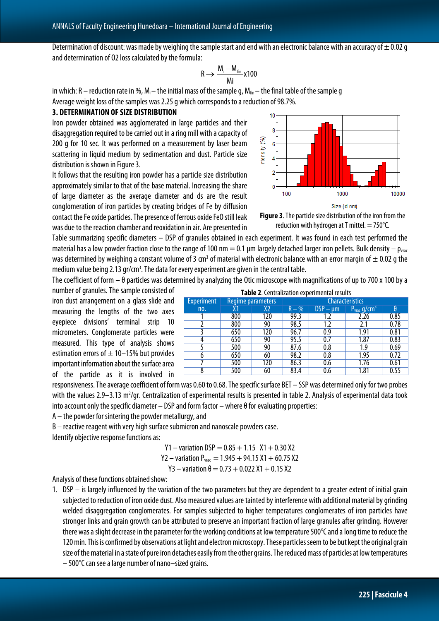Determination of discount: was made by weighing the sample start and end with an electronic balance with an accuracy of  $\pm$  0.02 g and determination of 02 loss calculated by the formula:

$$
R \rightarrow \frac{M_i - M_{fin}}{Mi} x100
$$

in which: R – reduction rate in %,  $M_i$  – the initial mass of the sample g,  $M_{fin}$  – the final table of the sample g Average weight loss of the samples was 2.25 g which corresponds to a reduction of 98.7%.

#### **3. DETERMINATION OF SIZE DISTRIBUTION**

Iron powder obtained was agglomerated in large particles and their disaggregation required to be carried out in a ring mill with a capacity of 200 g for 10 sec. It was performed on a measurement by laser beam scattering in liquid medium by sedimentation and dust. Particle size distribution is shown in Figure 3.

It follows that the resulting iron powder has a particle size distribution approximately similar to that of the base material. Increasing the share of large diameter as the average diameter and ds are the result conglomeration of iron particles by creating bridges of Fe by diffusion contact the Fe oxide particles. The presence of ferrous oxide FeO still leak was due to the reaction chamber and reoxidation in air. Are presented in



**Figure 3**. The particle size distribution of the iron from the reduction with hydrogen at T mittel.  $= 750^{\circ}$ C.

Table summarizing specific diameters – DSP of granules obtained in each experiment. It was found in each test performed the material has a low powder fraction close to the range of 100 nm = 0.1 µm largely detached larger iron pellets. Bulk density  $-\rho_{\text{vac}}$ was determined by weighing a constant volume of 3 cm<sup>3</sup> of material with electronic balance with an error margin of  $\pm$  0.02 g the medium value being 2.13 gr/cm<sup>3</sup>. The data for every experiment are given in the central table.

The coefficient of form – θ particles was determined by analyzing the Otic microscope with magnifications of up to 700 x 100 by a

number of granules. The sample consisted of iron dust arrangement on a glass slide and measuring the lengths of the two axes eyepiece divisions' terminal strip 10 micrometers. Conglomerate particles were measured. This type of analysis shows estimation errors of  $\pm$  10–15% but provides important information about the surface area of the particle as it is involved in

**Table 2**. Centralization experimental results Experiment no. Regime parameters Characteristics  $X1$  X2 R – % DSP – μm P<sub>vrac</sub> g/cm<sup>3</sup> θ<br>800 120 99.3 1.2 2.26 0.85 1 800 120 99.3 1.2 2.26 0.85 2 800 90 98.5 1.2 2.1 0.78 3 650 120 96.7 0.9 1.91 0.81 4 650 90 95.5 0.7 1.87 0.83 5 500 90 87.6 0.8 1.9 0.69 6 650 60 98.2 0.8 1.95 0.72 7 500 120 86.3 0.6 1.76 0.61 8 500 60 83.4 0.6 1.81 0.55

responsiveness. The average coefficient of form was 0.60 to 0.68. The specific surface BET – SSP was determined only for two probes with the values 2.9–3.13 m<sup>2</sup>/gr. Centralization of experimental results is presented in table 2. Analysis of experimental data took into account only the specific diameter – DSP and form factor – where θ for evaluating properties:

A – the powder for sintering the powder metallurgy, and

B – reactive reagent with very high surface submicron and nanoscale powders case.

Identify objective response functions as:

 $Y1 -$  variation DSP = 0.85 + 1.15  $X1 + 0.30 X2$ Y2 – variation  $P_{\text{vac}} = 1.945 + 94.15 \text{ X1} + 60.75 \text{ X2}$  $Y3 - variation \theta = 0.73 + 0.022 X1 + 0.15 X2$ 

Analysis of these functions obtained show:

1. DSP – is largely influenced by the variation of the two parameters but they are dependent to a greater extent of initial grain subjected to reduction of iron oxide dust. Also measured values are tainted by interference with additional material by grinding welded disaggregation conglomerates. For samples subjected to higher temperatures conglomerates of iron particles have stronger links and grain growth can be attributed to preserve an important fraction of large granules after grinding. However there was a slight decrease in the parameter for the working conditions at low temperature 500°C and a long time to reduce the 120 min. This is confirmed by observations at light and electron microscopy. These particles seem to be but kept the original grain size of the material in a state of pure iron detaches easily from the other grains. The reduced mass of particles at low temperatures – 500°C can see a large number of nano–sized grains.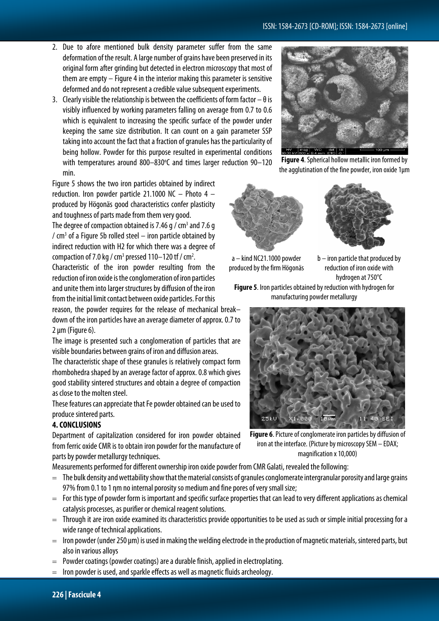- 2. Due to afore mentioned bulk density parameter suffer from the same deformation of the result. A large number of grains have been preserved in its original form after grinding but detected in electron microscopy that most of them are empty – Figure 4 in the interior making this parameter is sensitive deformed and do not represent a credible value subsequent experiments.
- 3. Clearly visible the relationship is between the coefficients of form factor  $-\theta$  is visibly influenced by working parameters falling on average from 0.7 to 0.6 which is equivalent to increasing the specific surface of the powder under keeping the same size distribution. It can count on a gain parameter SSP taking into account the fact that a fraction of granules has the particularity of being hollow. Powder for this purpose resulted in experimental conditions with temperatures around 800-830°C and times larger reduction 90-120 min.

Figure 5 shows the two iron particles obtained by indirect reduction. Iron powder particle 21.1000 NC - Photo 4 produced by Högonäs good characteristics confer plasticity and toughness of parts made from them very good.

The degree of compaction obtained is 7.46 g /  $\text{cm}^3$  and 7.6 g /  $\text{cm}^3$  of a Figure 5b rolled steel – iron particle obtained by indirect reduction with H2 for which there was a degree of compaction of 7.0 kg / cm<sup>3</sup> pressed 110–120 tf / cm<sup>2</sup>. .

Characteristic of the iron powder resulting from the reduction of iron oxide is the conglomeration of iron particles and unite them into larger structures by diffusion of the iron from the initial limit contact between oxide particles. For this

reason, the powder requires for the release of mechanical break– down of the iron particles have an average diameter of approx. 0.7 to 2 μm (Figure 6).

The image is presented such a conglomeration of particles that are visible boundaries between grains of iron and diffusion areas.

The characteristic shape of these granules is relatively compact form rhombohedra shaped by an average factor of approx. 0.8 which gives good stability sintered structures and obtain a degree of compaction as close to the molten steel.

These features can appreciate that Fe powder obtained can be used to produce sintered parts.

#### **4. CONCLUSIONS**

Department of capitalization considered for iron powder obtained from ferric oxide CMR is to obtain iron powder for the manufacture of parts by powder metallurgy techniques.

Measurements performed for different ownership iron oxide powder from CMR Galati, revealed the following:

- $=$  The bulk density and wettability show that the material consists of granules conglomerate intergranular porosity and large grains 97% from 0.1 to 1 ηm no internal porosity so medium and fine pores of very small size;
- = For this type of powder form is important and specific surface properties that can lead to very different applications as chemical catalysis processes, as purifier or chemical reagent solutions.
- $=$  Through it are iron oxide examined its characteristics provide opportunities to be used as such or simple initial processing for a wide range of technical applications.
- = Iron powder (under 250 μm) is used in making the welding electrode in the production of magnetic materials, sintered parts, but also in various alloys
- $=$  Powder coatings (powder coatings) are a durable finish, applied in electroplating.
- Iron powder is used, and sparkle effects as well as magnetic fluids archeology.



**Figure 4**. Spherical hollow metallic iron formed by the agglutination of the fine powder, iron oxide 1μm





a – kind NC21.1000 powder produced by the firm Högonäs

b – iron particle that produced by reduction of iron oxide with hydrogen at 750°C

**Figure 5**. Iron particles obtained by reduction with hydrogen for manufacturing powder metallurgy



**Figure 6**. Picture of conglomerate iron particles by diffusion of iron at the interface. (Picture by microscopy SEM – EDAX; magnification x 10,000)